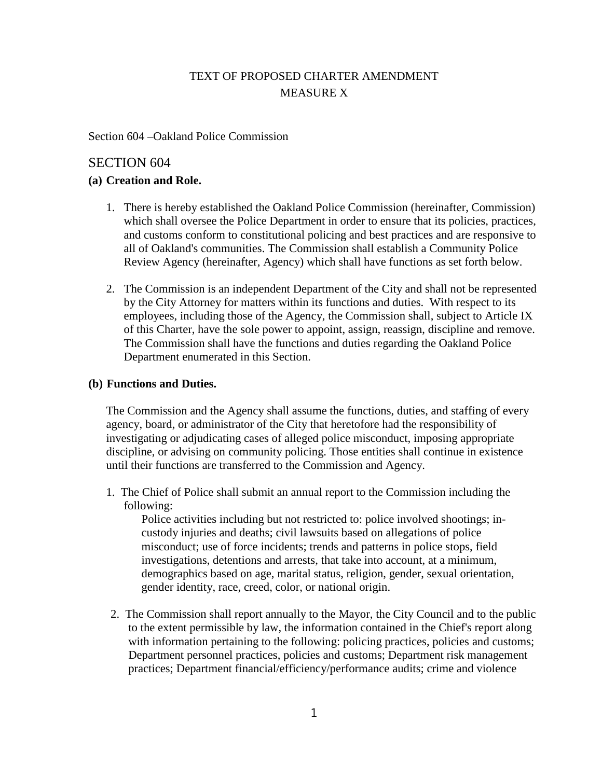# TEXT OF PROPOSED CHARTER AMENDMENT MEASURE X

Section 604 –Oakland Police Commission

## SECTION 604

#### **(a) Creation and Role.**

- 1. There is hereby established the Oakland Police Commission (hereinafter, Commission) which shall oversee the Police Department in order to ensure that its policies, practices, and customs conform to constitutional policing and best practices and are responsive to all of Oakland's communities. The Commission shall establish a Community Police Review Agency (hereinafter, Agency) which shall have functions as set forth below.
- 2. The Commission is an independent Department of the City and shall not be represented by the City Attorney for matters within its functions and duties. With respect to its employees, including those of the Agency, the Commission shall, subject to Article IX of this Charter, have the sole power to appoint, assign, reassign, discipline and remove. The Commission shall have the functions and duties regarding the Oakland Police Department enumerated in this Section.

### **(b) Functions and Duties.**

The Commission and the Agency shall assume the functions, duties, and staffing of every agency, board, or administrator of the City that heretofore had the responsibility of investigating or adjudicating cases of alleged police misconduct, imposing appropriate discipline, or advising on community policing. Those entities shall continue in existence until their functions are transferred to the Commission and Agency.

1. The Chief of Police shall submit an annual report to the Commission including the following:

Police activities including but not restricted to: police involved shootings; incustody injuries and deaths; civil lawsuits based on allegations of police misconduct; use of force incidents; trends and patterns in police stops, field investigations, detentions and arrests, that take into account, at a minimum, demographics based on age, marital status, religion, gender, sexual orientation, gender identity, race, creed, color, or national origin.

2. The Commission shall report annually to the Mayor, the City Council and to the public to the extent permissible by law, the information contained in the Chief's report along with information pertaining to the following: policing practices, policies and customs; Department personnel practices, policies and customs; Department risk management practices; Department financial/efficiency/performance audits; crime and violence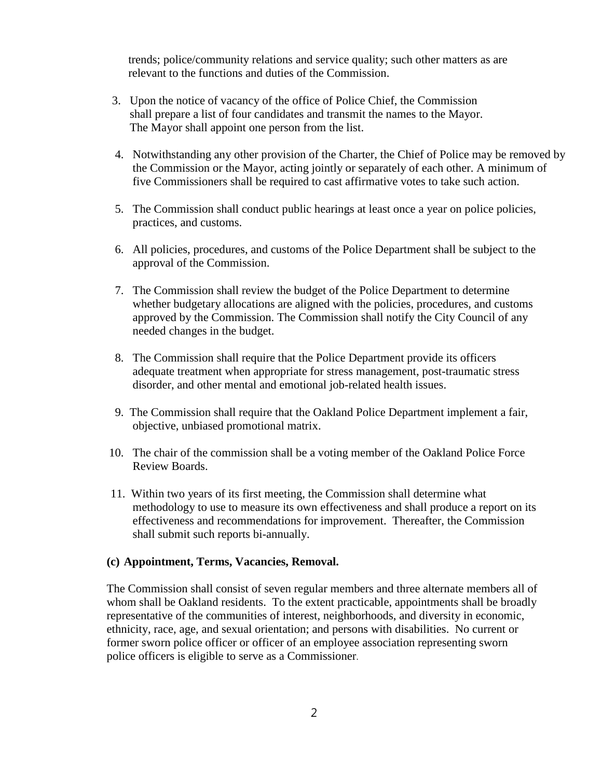trends; police/community relations and service quality; such other matters as are relevant to the functions and duties of the Commission.

- 3. Upon the notice of vacancy of the office of Police Chief, the Commission shall prepare a list of four candidates and transmit the names to the Mayor. The Mayor shall appoint one person from the list.
- 4. Notwithstanding any other provision of the Charter, the Chief of Police may be removed by the Commission or the Mayor, acting jointly or separately of each other. A minimum of five Commissioners shall be required to cast affirmative votes to take such action.
- 5. The Commission shall conduct public hearings at least once a year on police policies, practices, and customs.
- 6. All policies, procedures, and customs of the Police Department shall be subject to the approval of the Commission.
- 7. The Commission shall review the budget of the Police Department to determine whether budgetary allocations are aligned with the policies, procedures, and customs approved by the Commission. The Commission shall notify the City Council of any needed changes in the budget.
- 8. The Commission shall require that the Police Department provide its officers adequate treatment when appropriate for stress management, post-traumatic stress disorder, and other mental and emotional job-related health issues.
- 9. The Commission shall require that the Oakland Police Department implement a fair, objective, unbiased promotional matrix.
- 10. The chair of the commission shall be a voting member of the Oakland Police Force Review Boards.
- 11. Within two years of its first meeting, the Commission shall determine what methodology to use to measure its own effectiveness and shall produce a report on its effectiveness and recommendations for improvement. Thereafter, the Commission shall submit such reports bi-annually.

#### **(c) Appointment, Terms, Vacancies, Removal.**

The Commission shall consist of seven regular members and three alternate members all of whom shall be Oakland residents. To the extent practicable, appointments shall be broadly representative of the communities of interest, neighborhoods, and diversity in economic, ethnicity, race, age, and sexual orientation; and persons with disabilities. No current or former sworn police officer or officer of an employee association representing sworn police officers is eligible to serve as a Commissioner.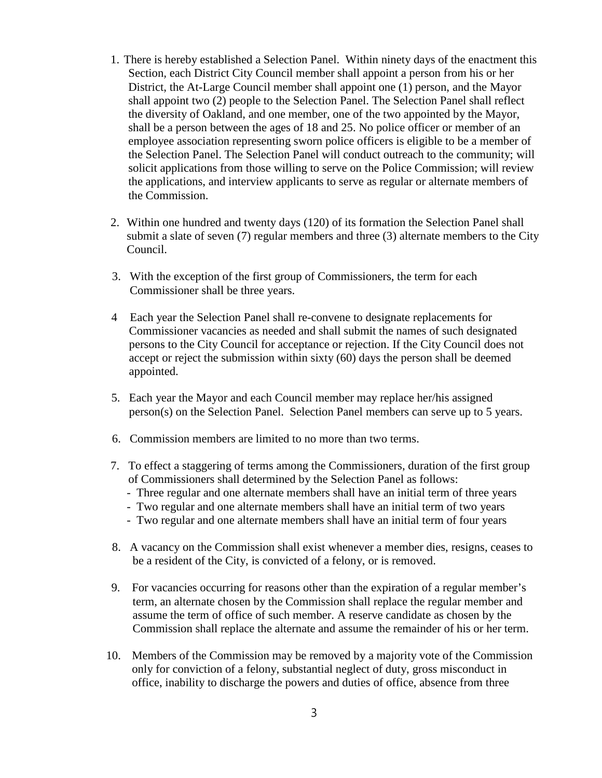- 1. There is hereby established a Selection Panel. Within ninety days of the enactment this Section*,* each District City Council member shall appoint a person from his or her District, the At-Large Council member shall appoint one (1) person, and the Mayor shall appoint two (2) people to the Selection Panel. The Selection Panel shall reflect the diversity of Oakland, and one member, one of the two appointed by the Mayor, shall be a person between the ages of 18 and 25. No police officer or member of an employee association representing sworn police officers is eligible to be a member of the Selection Panel. The Selection Panel will conduct outreach to the community; will solicit applications from those willing to serve on the Police Commission; will review the applications, and interview applicants to serve as regular or alternate members of the Commission.
- 2. Within one hundred and twenty days (120) of its formation the Selection Panel shall submit a slate of seven (7) regular members and three (3) alternate members to the City Council.
- 3. With the exception of the first group of Commissioners, the term for each Commissioner shall be three years.
- 4 Each year the Selection Panel shall re-convene to designate replacements for Commissioner vacancies as needed and shall submit the names of such designated persons to the City Council for acceptance or rejection. If the City Council does not accept or reject the submission within sixty (60) days the person shall be deemed appointed.
- 5. Each year the Mayor and each Council member may replace her/his assigned person(s) on the Selection Panel. Selection Panel members can serve up to 5 years.
- 6. Commission members are limited to no more than two terms.
- 7. To effect a staggering of terms among the Commissioners, duration of the first group of Commissioners shall determined by the Selection Panel as follows:
	- Three regular and one alternate members shall have an initial term of three years
	- Two regular and one alternate members shall have an initial term of two years
	- Two regular and one alternate members shall have an initial term of four years
- 8. A vacancy on the Commission shall exist whenever a member dies, resigns, ceases to be a resident of the City, is convicted of a felony, or is removed.
- 9. For vacancies occurring for reasons other than the expiration of a regular member's term, an alternate chosen by the Commission shall replace the regular member and assume the term of office of such member. A reserve candidate as chosen by the Commission shall replace the alternate and assume the remainder of his or her term.
- 10. Members of the Commission may be removed by a majority vote of the Commission only for conviction of a felony, substantial neglect of duty, gross misconduct in office, inability to discharge the powers and duties of office, absence from three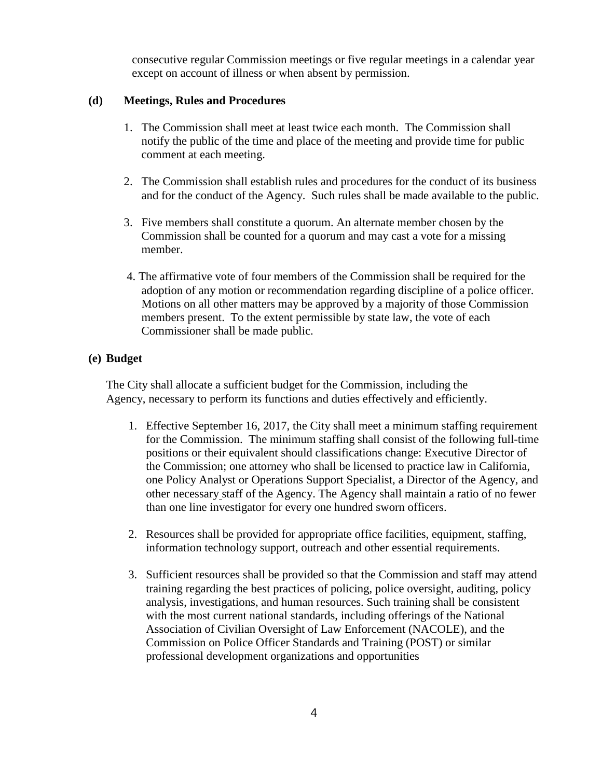consecutive regular Commission meetings or five regular meetings in a calendar year except on account of illness or when absent by permission.

#### **(d) Meetings, Rules and Procedures**

- 1. The Commission shall meet at least twice each month. The Commission shall notify the public of the time and place of the meeting and provide time for public comment at each meeting.
- 2. The Commission shall establish rules and procedures for the conduct of its business and for the conduct of the Agency. Such rules shall be made available to the public.
- 3. Five members shall constitute a quorum. An alternate member chosen by the Commission shall be counted for a quorum and may cast a vote for a missing member.
- 4. The affirmative vote of four members of the Commission shall be required for the adoption of any motion or recommendation regarding discipline of a police officer. Motions on all other matters may be approved by a majority of those Commission members present. To the extent permissible by state law, the vote of each Commissioner shall be made public.

#### **(e) Budget**

The City shall allocate a sufficient budget for the Commission, including the Agency, necessary to perform its functions and duties effectively and efficiently.

- 1. Effective September 16, 2017, the City shall meet a minimum staffing requirement for the Commission. The minimum staffing shall consist of the following full-time positions or their equivalent should classifications change: Executive Director of the Commission; one attorney who shall be licensed to practice law in California, one Policy Analyst or Operations Support Specialist, a Director of the Agency, and other necessary staff of the Agency. The Agency shall maintain a ratio of no fewer than one line investigator for every one hundred sworn officers.
- 2. Resources shall be provided for appropriate office facilities, equipment, staffing, information technology support, outreach and other essential requirements.
- 3. Sufficient resources shall be provided so that the Commission and staff may attend training regarding the best practices of policing, police oversight, auditing, policy analysis, investigations, and human resources. Such training shall be consistent with the most current national standards, including offerings of the National Association of Civilian Oversight of Law Enforcement (NACOLE), and the Commission on Police Officer Standards and Training (POST) or similar professional development organizations and opportunities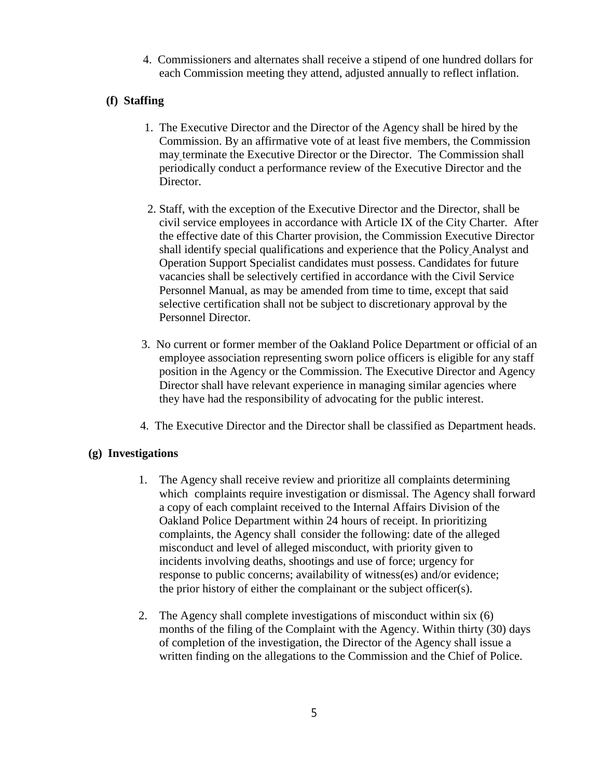4. Commissioners and alternates shall receive a stipend of one hundred dollars for each Commission meeting they attend, adjusted annually to reflect inflation.

## **(f) Staffing**

- 1. The Executive Director and the Director of the Agency shall be hired by the Commission. By an affirmative vote of at least five members, the Commission may terminate the Executive Director or the Director. The Commission shall periodically conduct a performance review of the Executive Director and the Director.
- 2. Staff, with the exception of the Executive Director and the Director, shall be civil service employees in accordance with Article IX of the City Charter. After the effective date of this Charter provision, the Commission Executive Director shall identify special qualifications and experience that the Policy Analyst and Operation Support Specialist candidates must possess. Candidates for future vacancies shall be selectively certified in accordance with the Civil Service Personnel Manual, as may be amended from time to time, except that said selective certification shall not be subject to discretionary approval by the Personnel Director.
- 3. No current or former member of the Oakland Police Department or official of an employee association representing sworn police officers is eligible for any staff position in the Agency or the Commission. The Executive Director and Agency Director shall have relevant experience in managing similar agencies where they have had the responsibility of advocating for the public interest.
- 4. The Executive Director and the Director shall be classified as Department heads.

#### **(g) Investigations**

- 1. The Agency shall receive review and prioritize all complaints determining which complaints require investigation or dismissal. The Agency shall forward a copy of each complaint received to the Internal Affairs Division of the Oakland Police Department within 24 hours of receipt. In prioritizing complaints, the Agency shall consider the following: date of the alleged misconduct and level of alleged misconduct, with priority given to incidents involving deaths, shootings and use of force; urgency for response to public concerns; availability of witness(es) and/or evidence; the prior history of either the complainant or the subject officer(s).
- 2. The Agency shall complete investigations of misconduct within six (6) months of the filing of the Complaint with the Agency. Within thirty (30) days of completion of the investigation, the Director of the Agency shall issue a written finding on the allegations to the Commission and the Chief of Police.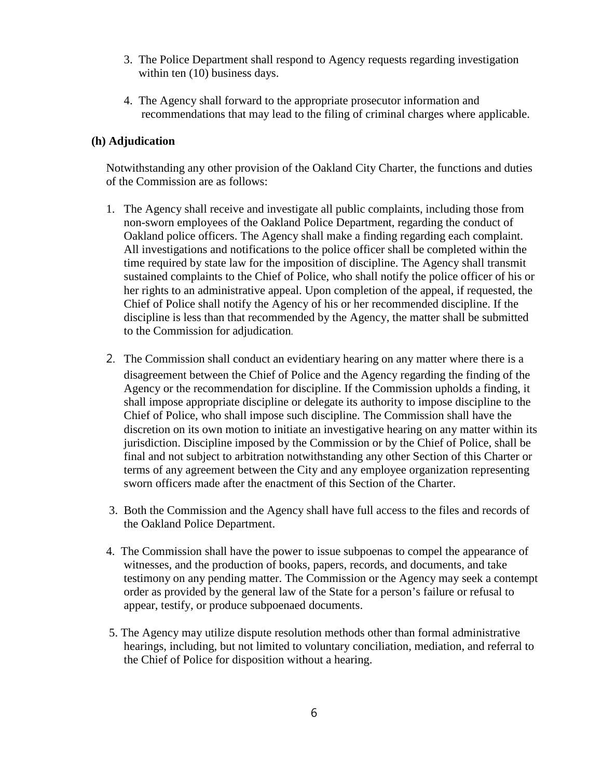- 3. The Police Department shall respond to Agency requests regarding investigation within ten  $(10)$  business days.
- 4. The Agency shall forward to the appropriate prosecutor information and recommendations that may lead to the filing of criminal charges where applicable.

#### **(h) Adjudication**

Notwithstanding any other provision of the Oakland City Charter, the functions and duties of the Commission are as follows:

- 1. The Agency shall receive and investigate all public complaints, including those from non-sworn employees of the Oakland Police Department, regarding the conduct of Oakland police officers. The Agency shall make a finding regarding each complaint. All investigations and notifications to the police officer shall be completed within the time required by state law for the imposition of discipline. The Agency shall transmit sustained complaints to the Chief of Police, who shall notify the police officer of his or her rights to an administrative appeal. Upon completion of the appeal, if requested, the Chief of Police shall notify the Agency of his or her recommended discipline. If the discipline is less than that recommended by the Agency, the matter shall be submitted to the Commission for adjudication.
- 2. The Commission shall conduct an evidentiary hearing on any matter where there is a disagreement between the Chief of Police and the Agency regarding the finding of the Agency or the recommendation for discipline. If the Commission upholds a finding, it shall impose appropriate discipline or delegate its authority to impose discipline to the Chief of Police, who shall impose such discipline. The Commission shall have the discretion on its own motion to initiate an investigative hearing on any matter within its jurisdiction. Discipline imposed by the Commission or by the Chief of Police, shall be final and not subject to arbitration notwithstanding any other Section of this Charter or terms of any agreement between the City and any employee organization representing sworn officers made after the enactment of this Section of the Charter.
- 3. Both the Commission and the Agency shall have full access to the files and records of the Oakland Police Department.
- 4. The Commission shall have the power to issue subpoenas to compel the appearance of witnesses, and the production of books, papers, records, and documents, and take testimony on any pending matter. The Commission or the Agency may seek a contempt order as provided by the general law of the State for a person's failure or refusal to appear, testify, or produce subpoenaed documents.
- 5. The Agency may utilize dispute resolution methods other than formal administrative hearings, including, but not limited to voluntary conciliation, mediation, and referral to the Chief of Police for disposition without a hearing.